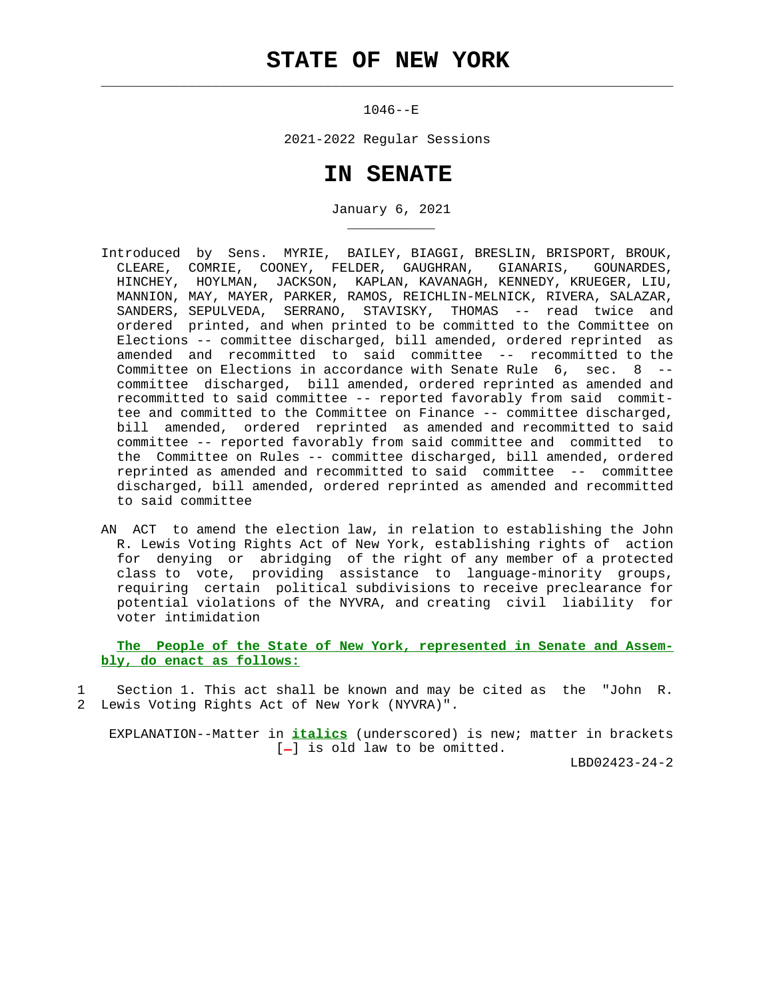$\mathcal{L}_\text{max} = \frac{1}{2} \sum_{i=1}^{n} \frac{1}{2} \sum_{i=1}^{n} \frac{1}{2} \sum_{i=1}^{n} \frac{1}{2} \sum_{i=1}^{n} \frac{1}{2} \sum_{i=1}^{n} \frac{1}{2} \sum_{i=1}^{n} \frac{1}{2} \sum_{i=1}^{n} \frac{1}{2} \sum_{i=1}^{n} \frac{1}{2} \sum_{i=1}^{n} \frac{1}{2} \sum_{i=1}^{n} \frac{1}{2} \sum_{i=1}^{n} \frac{1}{2} \sum_{i=1}^{n} \frac{1$ 

\_\_\_\_\_\_\_\_\_\_\_

1046--E

2021-2022 Regular Sessions

## **IN SENATE**

January 6, 2021

- Introduced by Sens. MYRIE, BAILEY, BIAGGI, BRESLIN, BRISPORT, BROUK, CLEARE, COMRIE, COONEY, FELDER, GAUGHRAN, GIANARIS, GOUNARDES, HINCHEY, HOYLMAN, JACKSON, KAPLAN, KAVANAGH, KENNEDY, KRUEGER, LIU, MANNION, MAY, MAYER, PARKER, RAMOS, REICHLIN-MELNICK, RIVERA, SALAZAR, SANDERS, SEPULVEDA, SERRANO, STAVISKY, THOMAS -- read twice and ordered printed, and when printed to be committed to the Committee on Elections -- committee discharged, bill amended, ordered reprinted as amended and recommitted to said committee -- recommitted to the Committee on Elections in accordance with Senate Rule 6, sec. 8 - committee discharged, bill amended, ordered reprinted as amended and recommitted to said committee -- reported favorably from said commit tee and committed to the Committee on Finance -- committee discharged, bill amended, ordered reprinted as amended and recommitted to said committee -- reported favorably from said committee and committed to the Committee on Rules -- committee discharged, bill amended, ordered reprinted as amended and recommitted to said committee -- committee discharged, bill amended, ordered reprinted as amended and recommitted to said committee
- AN ACT to amend the election law, in relation to establishing the John R. Lewis Voting Rights Act of New York, establishing rights of action for denying or abridging of the right of any member of a protected class to vote, providing assistance to language-minority groups, requiring certain political subdivisions to receive preclearance for potential violations of the NYVRA, and creating civil liability for voter intimidation

 **The People of the State of New York, represented in Senate and Assem bly, do enact as follows:**

 1 Section 1. This act shall be known and may be cited as the "John R. 2 Lewis Voting Rights Act of New York (NYVRA)".

 EXPLANATION--Matter in **italics** (underscored) is new; matter in brackets  $[-]$  is old law to be omitted.

LBD02423-24-2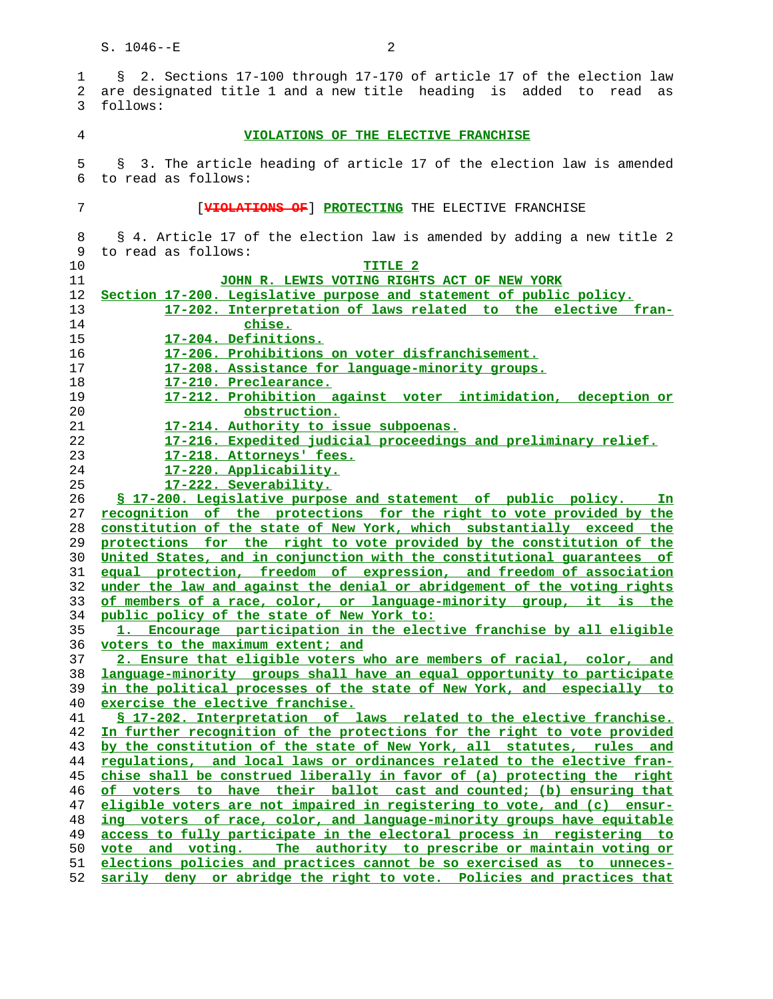1 § 2. Sections 17-100 through 17-170 of article 17 of the election law 2 are designated title 1 and a new title heading is added to read as 3 follows: **VIOLATIONS OF THE ELECTIVE FRANCHISE** 5 § 3. The article heading of article 17 of the election law is amended 6 to read as follows: 7 [**VIOLATIONS OF**] **PROTECTING** THE ELECTIVE FRANCHISE 8 § 4. Article 17 of the election law is amended by adding a new title 2 9 to read as follows: **TITLE 2 JOHN R. LEWIS VOTING RIGHTS ACT OF NEW YORK Section 17-200. Legislative purpose and statement of public policy. 17-202. Interpretation of laws related to the elective fran- chise. 17-204. Definitions. 17-206. Prohibitions on voter disfranchisement. 17-208. Assistance for language-minority groups. 17-210. Preclearance. 17-212. Prohibition against voter intimidation, deception or obstruction. 17-214. Authority to issue subpoenas. 17-216. Expedited judicial proceedings and preliminary relief. 17-218. Attorneys' fees. 17-220. Applicability. 17-222. Severability. § 17-200. Legislative purpose and statement of public policy. In recognition of the protections for the right to vote provided by the constitution of the state of New York, which substantially exceed the protections for the right to vote provided by the constitution of the United States, and in conjunction with the constitutional guarantees of equal protection, freedom of expression, and freedom of association under the law and against the denial or abridgement of the voting rights of members of a race, color, or language-minority group, it is the public policy of the state of New York to: 1. Encourage participation in the elective franchise by all eligible voters to the maximum extent; and 2. Ensure that eligible voters who are members of racial, color, and language-minority groups shall have an equal opportunity to participate in the political processes of the state of New York, and especially to exercise the elective franchise. § 17-202. Interpretation of laws related to the elective franchise. In further recognition of the protections for the right to vote provided by the constitution of the state of New York, all statutes, rules and regulations, and local laws or ordinances related to the elective fran- chise shall be construed liberally in favor of (a) protecting the right of voters to have their ballot cast and counted; (b) ensuring that eligible voters are not impaired in registering to vote, and (c) ensur- ing voters of race, color, and language-minority groups have equitable access to fully participate in the electoral process in registering to vote and voting. The authority to prescribe or maintain voting or elections policies and practices cannot be so exercised as to unneces- sarily deny or abridge the right to vote. Policies and practices that**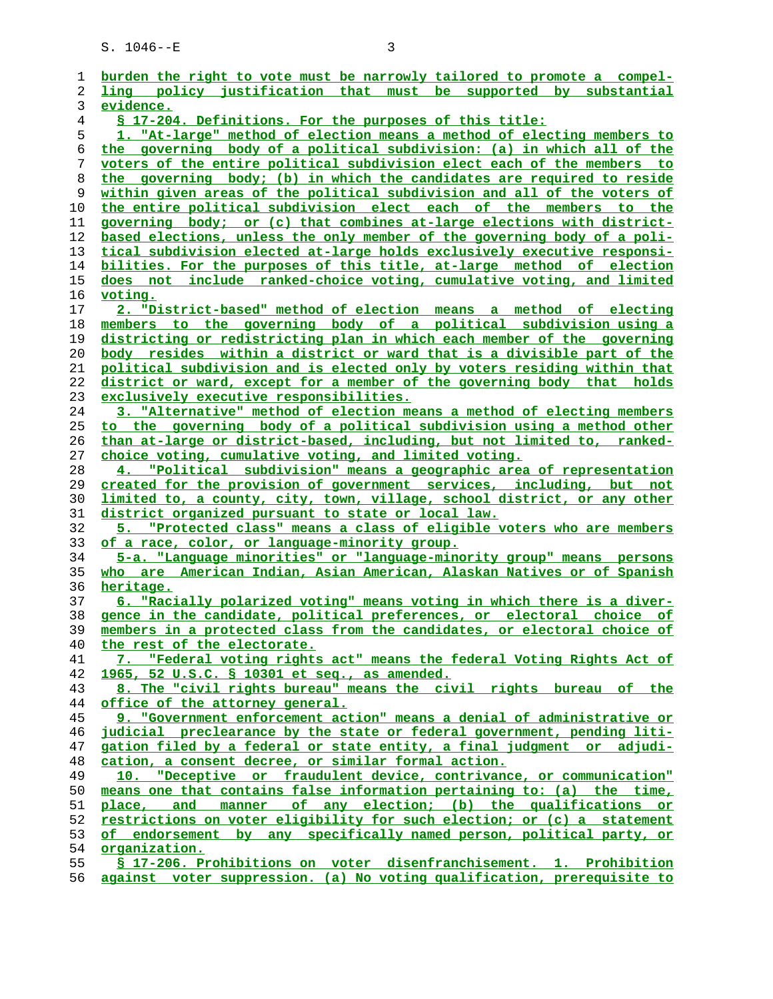| burden the right to vote must be narrowly tailored to promote a compel-       |
|-------------------------------------------------------------------------------|
| ling policy justification that must be supported by substantial               |
| evidence.                                                                     |
| § 17-204. Definitions. For the purposes of this title:                        |
| 1. "At-large" method of election means a method of electing members to        |
| the governing body of a political subdivision: (a) in which all of the        |
| voters of the entire political subdivision elect each of the members to       |
| the governing body; (b) in which the candidates are required to reside        |
| within given areas of the political subdivision and all of the voters of      |
| the entire political subdivision elect each of the members to the             |
| governing body; or (c) that combines at-large elections with district-        |
| based elections, unless the only member of the governing body of a poli-      |
| tical subdivision elected at-large holds exclusively executive responsi-      |
| bilities. For the purposes of this title, at-large method of election         |
| does not include ranked-choice voting, cumulative voting, and limited         |
| <u>voting.</u>                                                                |
| 2. "District-based" method of election means a method of electing             |
| members to the governing body of a political subdivision using a              |
| districting or redistricting plan in which each member of the governing       |
| <u>body resides within a district or ward that is a divisible part of the</u> |
| political subdivision and is elected only by voters residing within that      |
| district or ward, except for a member of the governing body that holds        |
| exclusively executive responsibilities.                                       |
| 3. "Alternative" method of election means a method of electing members        |
| to the governing body of a political subdivision using a method other         |
| than at-large or district-based, including, but not limited to, ranked-       |
| choice voting, cumulative voting, and limited voting.                         |
| 4. "Political subdivision" means a geographic area of representation          |
| created for the provision of government services, including, but not          |
| limited to, a county, city, town, village, school district, or any other      |
| district organized pursuant to state or local law.                            |
| 5. "Protected class" means a class of eligible voters who are members         |
| of a race, color, or language-minority group.                                 |
| 5-a. "Language minorities" or "language-minority group" means persons         |
| who are American Indian, Asian American, Alaskan Natives or of Spanish        |
| heritage.                                                                     |
| 6. "Racially polarized voting" means voting in which there is a diver-        |
| gence in the candidate, political preferences, or electoral choice of         |
| members in a protected class from the candidates, or electoral choice of      |
| the rest of the electorate.                                                   |
| 7. "Federal voting rights act" means the federal Voting Rights Act of         |
| 1965, 52 U.S.C. § 10301 et seq., as amended.                                  |
| 8. The "civil rights bureau" means the civil rights bureau of the             |
| office of the attorney general.                                               |
| 9. "Government enforcement action" means a denial of administrative or        |
| judicial preclearance by the state or federal government, pending liti-       |
| gation filed by a federal or state entity, a final judgment or adjudi-        |
| cation, a consent decree, or similar formal action.                           |
| 10. "Deceptive or fraudulent device, contrivance, or communication"           |
| means one that contains false information pertaining to: (a) the time,        |
| place, and manner of any election; (b) the qualifications or                  |
| restrictions on voter eligibility for such election; or (c) a statement       |
| of endorsement by any specifically named person, political party, or          |
| organization.                                                                 |
| § 17-206. Prohibitions on voter disenfranchisement. 1. Prohibition            |
| against voter suppression. (a) No voting qualification, prerequisite to       |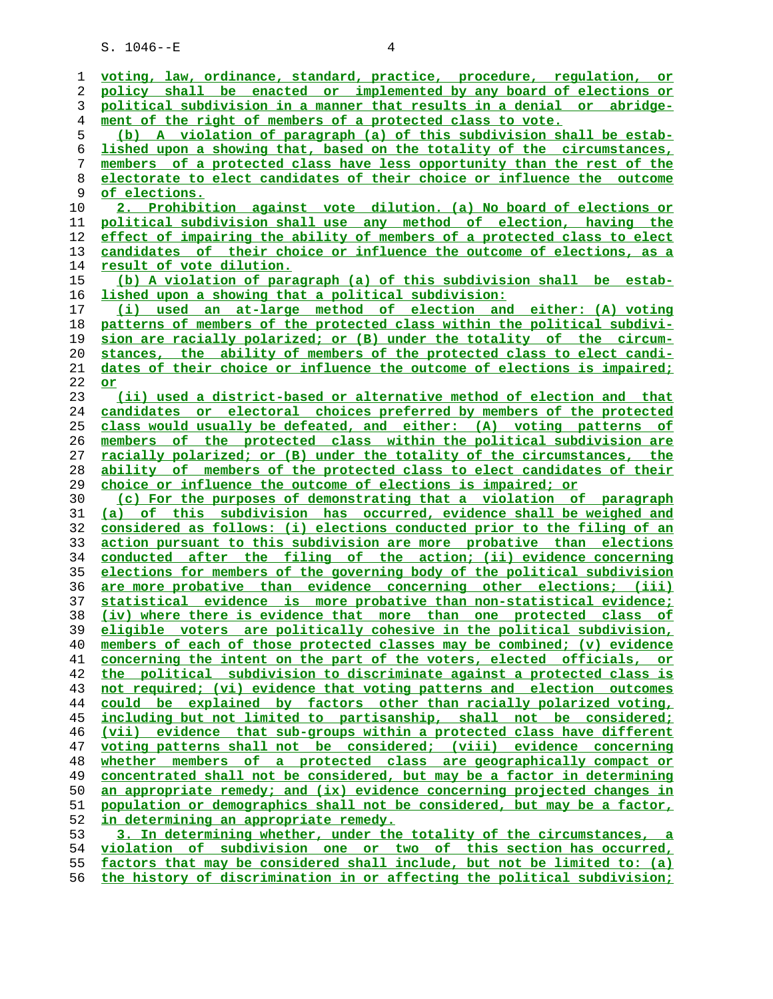| 1  | voting, law, ordinance, standard, practice, procedure, regulation, or                                                                                |
|----|------------------------------------------------------------------------------------------------------------------------------------------------------|
| 2  | policy shall be enacted or implemented by any board of elections or                                                                                  |
| 3  | political subdivision in a manner that results in a denial or abridge-                                                                               |
| 4  | ment of the right of members of a protected class to vote.                                                                                           |
| 5  | (b) A violation of paragraph (a) of this subdivision shall be estab-                                                                                 |
| 6  | lished upon a showing that, based on the totality of the circumstances,                                                                              |
| 7  | members of a protected class have less opportunity than the rest of the                                                                              |
| 8  | electorate to elect candidates of their choice or influence the outcome                                                                              |
| 9  | <u>of elections.</u>                                                                                                                                 |
| 10 | 2. Prohibition against vote dilution. (a) No board of elections or                                                                                   |
| 11 | political subdivision shall use any method of election, having the                                                                                   |
| 12 | effect of impairing the ability of members of a protected class to elect                                                                             |
| 13 | candidates of their choice or influence the outcome of elections, as a                                                                               |
| 14 | result of vote dilution.                                                                                                                             |
| 15 | (b) A violation of paragraph (a) of this subdivision shall be estab-                                                                                 |
| 16 | <u>lished upon a showing that a political subdivision:</u>                                                                                           |
| 17 | (i) used an at-large method of election and either: (A) voting                                                                                       |
| 18 | patterns of members of the protected class within the political subdivi-                                                                             |
| 19 | sion are racially polarized; or (B) under the totality of the circum-                                                                                |
| 20 | stances, the ability of members of the protected class to elect candi-                                                                               |
|    |                                                                                                                                                      |
| 21 | dates of their choice or influence the outcome of elections is impaired;                                                                             |
| 22 | or                                                                                                                                                   |
| 23 | (ii) used a district-based or alternative method of election and that                                                                                |
| 24 | candidates or electoral choices preferred by members of the protected                                                                                |
| 25 | class would usually be defeated, and either: (A) voting patterns of                                                                                  |
| 26 | members of the protected class within the political subdivision are                                                                                  |
| 27 | racially polarized; or (B) under the totality of the circumstances, the                                                                              |
| 28 | ability of members of the protected class to elect candidates of their                                                                               |
|    |                                                                                                                                                      |
| 29 | choice or influence the outcome of elections is impaired; or                                                                                         |
| 30 | (c) For the purposes of demonstrating that a violation of paragraph                                                                                  |
| 31 | (a) of this subdivision has occurred, evidence shall be weighed and                                                                                  |
| 32 | considered as follows: (i) elections conducted prior to the filing of an                                                                             |
| 33 | action pursuant to this subdivision are more probative than elections                                                                                |
| 34 | conducted after the filing of the action; (ii) evidence concerning                                                                                   |
| 35 | elections for members of the governing body of the political subdivision                                                                             |
| 36 | are more probative than evidence concerning other elections; (iii)                                                                                   |
| 37 | statistical evidence is more probative than non-statistical evidence;                                                                                |
| 38 | (iv) where there is evidence that more than one protected class of                                                                                   |
| 39 | voters are politically cohesive in the political subdivision,<br>eligible                                                                            |
| 40 | members of each of those protected classes may be combined; (v) evidence                                                                             |
| 41 | concerning the intent on the part of the voters, elected officials, or                                                                               |
| 42 | the political subdivision to discriminate against a protected class is                                                                               |
| 43 | not required; (vi) evidence that voting patterns and election outcomes                                                                               |
| 44 | could be explained by factors other than racially polarized voting,                                                                                  |
| 45 | including but not limited to partisanship, shall not be considered;                                                                                  |
| 46 | (vii) evidence that sub-groups within a protected class have different                                                                               |
| 47 | voting patterns shall not be considered; (viii) evidence concerning                                                                                  |
| 48 | whether members of a protected class are geographically compact or                                                                                   |
| 49 | concentrated shall not be considered, but may be a factor in determining                                                                             |
| 50 | an appropriate remedy; and (ix) evidence concerning projected changes in                                                                             |
| 51 | population or demographics shall not be considered, but may be a factor,                                                                             |
| 52 | in determining an appropriate remedy.                                                                                                                |
| 53 | 3. In determining whether, under the totality of the circumstances, a                                                                                |
| 54 | violation of subdivision one or two of this section has occurred,                                                                                    |
| 55 | factors that may be considered shall include, but not be limited to: (a)<br>the history of discrimination in or affecting the political subdivision; |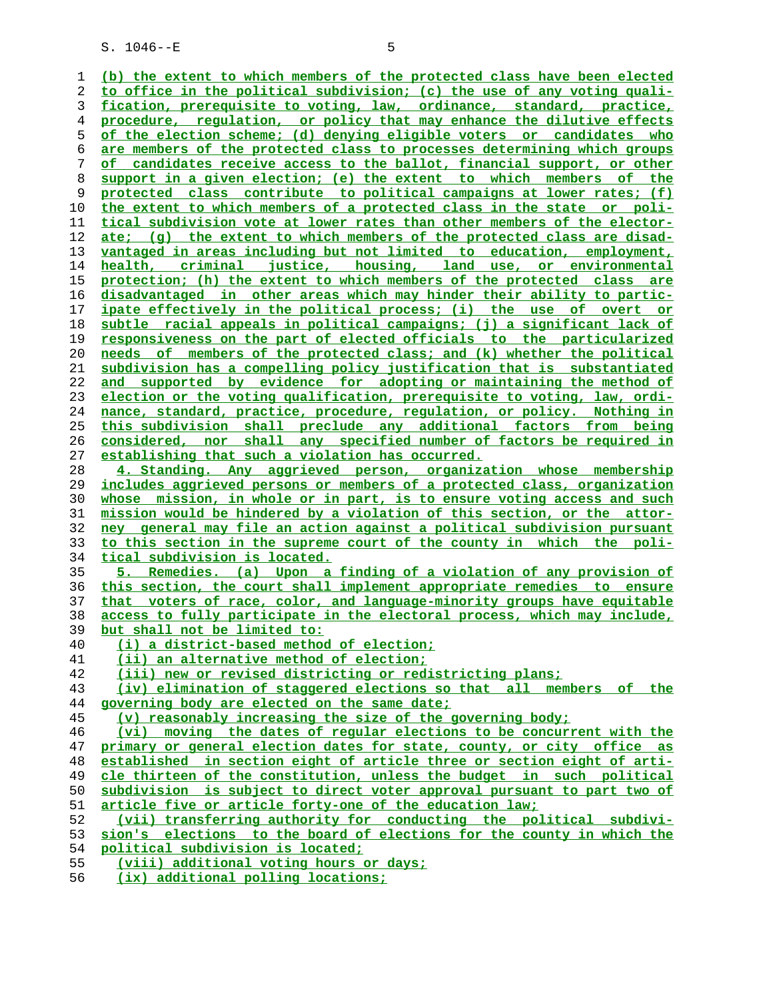$S. 1046 - E$  5

**(b) the extent to which members of the protected class have been elected to office in the political subdivision; (c) the use of any voting quali- fication, prerequisite to voting, law, ordinance, standard, practice, procedure, regulation, or policy that may enhance the dilutive effects of the election scheme; (d) denying eligible voters or candidates who are members of the protected class to processes determining which groups of candidates receive access to the ballot, financial support, or other support in a given election; (e) the extent to which members of the protected class contribute to political campaigns at lower rates; (f) the extent to which members of a protected class in the state or poli- tical subdivision vote at lower rates than other members of the elector- ate; (g) the extent to which members of the protected class are disad- vantaged in areas including but not limited to education, employment, health, criminal justice, housing, land use, or environmental protection; (h) the extent to which members of the protected class are disadvantaged in other areas which may hinder their ability to partic- ipate effectively in the political process; (i) the use of overt or subtle racial appeals in political campaigns; (j) a significant lack of responsiveness on the part of elected officials to the particularized needs of members of the protected class; and (k) whether the political subdivision has a compelling policy justification that is substantiated and supported by evidence for adopting or maintaining the method of election or the voting qualification, prerequisite to voting, law, ordi- nance, standard, practice, procedure, regulation, or policy. Nothing in this subdivision shall preclude any additional factors from being considered, nor shall any specified number of factors be required in establishing that such a violation has occurred. 4. Standing. Any aggrieved person, organization whose membership includes aggrieved persons or members of a protected class, organization whose mission, in whole or in part, is to ensure voting access and such mission would be hindered by a violation of this section, or the attor- ney general may file an action against a political subdivision pursuant to this section in the supreme court of the county in which the poli- tical subdivision is located. 5. Remedies. (a) Upon a finding of a violation of any provision of this section, the court shall implement appropriate remedies to ensure that voters of race, color, and language-minority groups have equitable access to fully participate in the electoral process, which may include, but shall not be limited to: (i) a district-based method of election; (ii) an alternative method of election; (iii) new or revised districting or redistricting plans; (iv) elimination of staggered elections so that all members of the governing body are elected on the same date; (v) reasonably increasing the size of the governing body; (vi) moving the dates of regular elections to be concurrent with the primary or general election dates for state, county, or city office as established in section eight of article three or section eight of arti- cle thirteen of the constitution, unless the budget in such political subdivision is subject to direct voter approval pursuant to part two of article five or article forty-one of the education law; (vii) transferring authority for conducting the political subdivi- sion's elections to the board of elections for the county in which the political subdivision is located; (viii) additional voting hours or days;**

**(ix) additional polling locations;**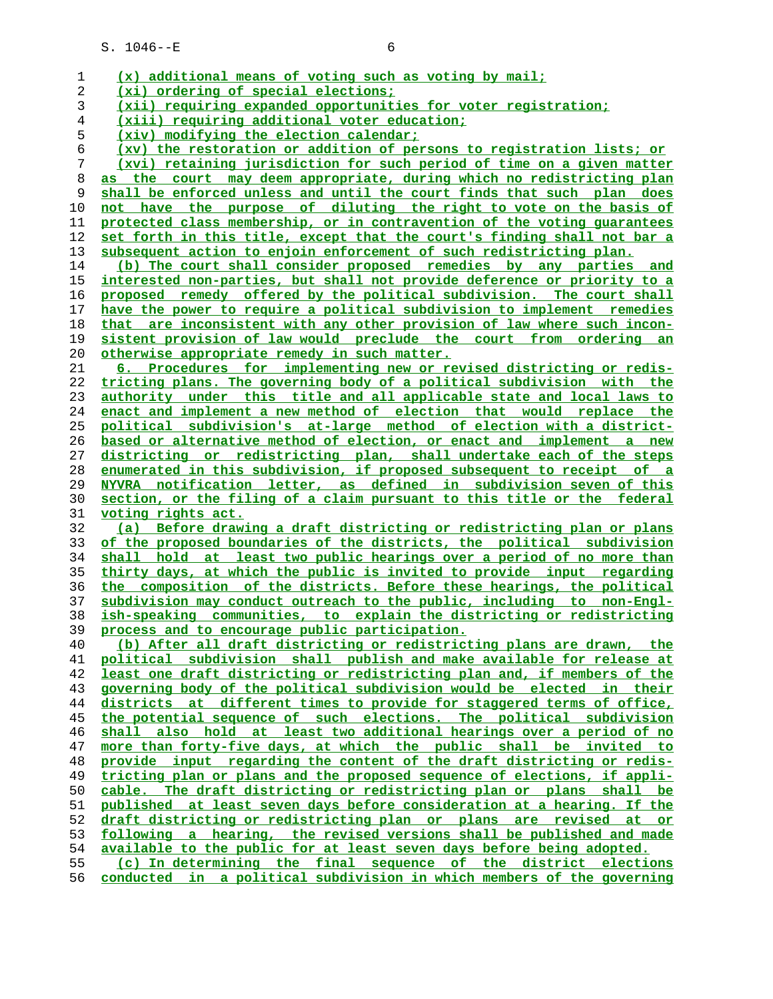| 1  | (x) additional means of voting such as voting by mail;                   |
|----|--------------------------------------------------------------------------|
| 2  | (xi) ordering of special elections;                                      |
| 3  | (xii) requiring expanded opportunities for voter registration;           |
| 4  | (xiii) requiring additional voter education;                             |
| 5  | (xiv) modifying the election calendar;                                   |
| 6  | (xv) the restoration or addition of persons to registration lists; or    |
| 7  | (xvi) retaining jurisdiction for such period of time on a given matter   |
| 8  | as the court may deem appropriate, during which no redistricting plan    |
| 9  | shall be enforced unless and until the court finds that such plan does   |
| 10 | not have the purpose of diluting the right to vote on the basis of       |
| 11 | protected class membership, or in contravention of the voting quarantees |
| 12 | set forth in this title, except that the court's finding shall not bar a |
| 13 | subsequent action to enjoin enforcement of such redistricting plan.      |
| 14 | (b) The court shall consider proposed remedies by any parties and        |
| 15 | interested non-parties, but shall not provide deference or priority to a |
| 16 | proposed remedy offered by the political subdivision. The court shall    |
| 17 | have the power to require a political subdivision to implement remedies  |
| 18 | that are inconsistent with any other provision of law where such incon-  |
| 19 | sistent provision of law would preclude the court from ordering an       |
|    |                                                                          |
| 20 | otherwise appropriate remedy in such matter.                             |
| 21 | 6. Procedures for implementing new or revised districting or redis-      |
| 22 | tricting plans. The governing body of a political subdivision with the   |
| 23 | authority under this title and all applicable state and local laws to    |
| 24 | enact and implement a new method of election that would replace the      |
| 25 | political subdivision's at-large method of election with a district-     |
| 26 | based or alternative method of election, or enact and implement a new    |
| 27 | districting or redistricting plan, shall undertake each of the steps     |
| 28 | enumerated in this subdivision, if proposed subsequent to receipt of a   |
| 29 | NYVRA notification letter, as defined in subdivision seven of this       |
| 30 | section, or the filing of a claim pursuant to this title or the federal  |
| 31 | <u>voting rights act.</u>                                                |
| 32 | (a) Before drawing a draft districting or redistricting plan or plans    |
| 33 | of the proposed boundaries of the districts, the political subdivision   |
| 34 | shall hold at least two public hearings over a period of no more than    |
| 35 | thirty days, at which the public is invited to provide input regarding   |
| 36 | the composition of the districts. Before these hearings, the political   |
| 37 | subdivision may conduct outreach to the public, including to non-Engl-   |
| 38 | ish-speaking communities, to explain the districting or redistricting    |
| 39 | process and to encourage public participation.                           |
| 40 | (b) After all draft districting or redistricting plans are drawn, the    |
| 41 | political subdivision shall publish and make available for release at    |
| 42 | least one draft districting or redistricting plan and, if members of the |
| 43 | governing body of the political subdivision would be elected in their    |
| 44 | districts at different times to provide for staggered terms of office,   |
| 45 | the potential sequence of such elections. The political subdivision      |
| 46 | shall also hold at least two additional hearings over a period of no     |
| 47 | more than forty-five days, at which the public shall be invited to       |
| 48 | provide input regarding the content of the draft districting or redis-   |
| 49 | tricting plan or plans and the proposed sequence of elections, if appli- |
| 50 | cable. The draft districting or redistricting plan or plans shall be     |
| 51 | published at least seven days before consideration at a hearing. If the  |
| 52 | draft districting or redistricting plan or plans are revised at or       |
| 53 | following a hearing, the revised versions shall be published and made    |
| 54 | available to the public for at least seven days before being adopted.    |
| 55 |                                                                          |
|    | (c) In determining the final sequence of the district elections          |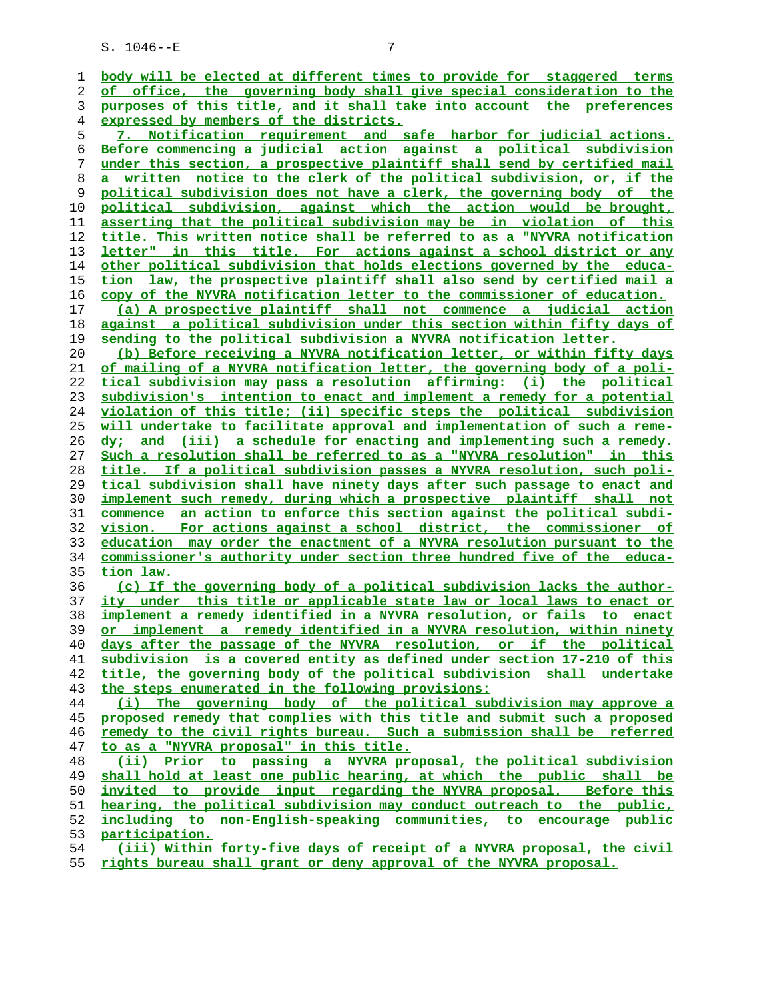| ı  | body will be elected at different times to provide for staggered terms        |
|----|-------------------------------------------------------------------------------|
| 2  | of office, the governing body shall give special consideration to the         |
| 3  | purposes of this title, and it shall take into account the preferences        |
| 4  | expressed by members of the districts.                                        |
| 5  | 7. Notification requirement and safe harbor for judicial actions.             |
| 6  | Before commencing a judicial action against a political subdivision           |
| 7  | under this section, a prospective plaintiff shall send by certified mail      |
| 8  | a written notice to the clerk of the political subdivision, or, if the        |
| 9  | political subdivision does not have a clerk, the governing body of the        |
| 10 | political subdivision, against which the action would be brought,             |
| 11 | asserting that the political subdivision may be in violation of this          |
| 12 | title. This written notice shall be referred to as a "NYVRA notification      |
| 13 | letter" in this title. For actions against a school district or any           |
| 14 | other political subdivision that holds elections governed by the educa-       |
| 15 | tion law, the prospective plaintiff shall also send by certified mail a       |
| 16 | copy of the NYVRA notification letter to the commissioner of education.       |
| 17 | (a) A prospective plaintiff shall not commence a judicial action              |
| 18 | against a political subdivision under this section within fifty days of       |
| 19 | sending to the political subdivision a NYVRA notification letter.             |
| 20 | (b) Before receiving a NYVRA notification letter, or within fifty days        |
| 21 | of mailing of a NYVRA notification letter, the governing body of a poli-      |
| 22 | tical subdivision may pass a resolution affirming: (i) the political          |
| 23 | subdivision's intention to enact and implement a remedy for a potential       |
| 24 | violation of this title; (ii) specific steps the political subdivision        |
| 25 | will undertake to facilitate approval and implementation of such a reme-      |
| 26 | dy; and (iii) a schedule for enacting and implementing such a remedy.         |
| 27 | Such a resolution shall be referred to as a "NYVRA resolution" in this        |
| 28 | title. If a political subdivision passes a NYVRA resolution, such poli-       |
| 29 | tical subdivision shall have ninety days after such passage to enact and      |
| 30 | implement such remedy, during which a prospective plaintiff shall not         |
| 31 | commence an action to enforce this section against the political subdi-       |
| 32 | <u>vision. For actions against a school district, the commissioner of</u>     |
| 33 | education may order the enactment of a NYVRA resolution pursuant to the       |
| 34 | commissioner's authority under section three hundred five of the educa-       |
| 35 | tion law.                                                                     |
| 36 | (c) If the governing body of a political subdivision lacks the author-        |
| 37 | <u>ity under this title or applicable state law or local laws to enact or</u> |
| 38 | implement a remedy identified in a NYVRA resolution, or fails to enact        |
| 39 | or implement a remedy identified in a NYVRA resolution, within ninety         |
| 40 | days after the passage of the NYVRA resolution, or if the political           |
| 41 | subdivision is a covered entity as defined under section 17-210 of this       |
| 42 | title, the governing body of the political subdivision shall undertake        |
| 43 | the steps enumerated in the following provisions:                             |
| 44 | The governing body of the political subdivision may approve a<br>(i)          |
| 45 | proposed remedy that complies with this title and submit such a proposed      |
| 46 | remedy to the civil rights bureau. Such a submission shall be referred        |
| 47 | to as a "NYVRA proposal" in this title.                                       |
| 48 | (ii) Prior to passing a NYVRA proposal, the political subdivision             |
| 49 | shall hold at least one public hearing, at which the public shall be          |
| 50 | invited to provide input regarding the NYVRA proposal. Before this            |
| 51 | hearing, the political subdivision may conduct outreach to the public,        |
| 52 | including to non-English-speaking communities, to encourage public            |
| 53 | participation.                                                                |
| 54 | (iii) Within forty-five days of receipt of a NYVRA proposal, the civil        |
| 55 | rights bureau shall grant or deny approval of the NYVRA proposal.             |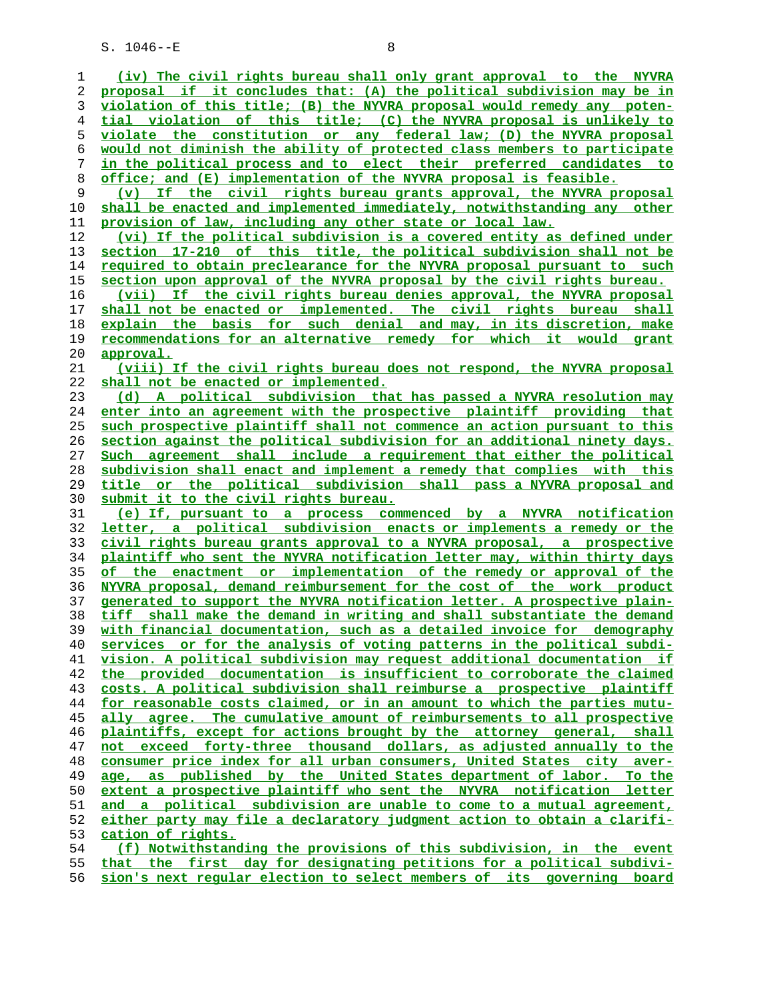$S. 1046 - E$  8

**(iv) The civil rights bureau shall only grant approval to the NYVRA proposal if it concludes that: (A) the political subdivision may be in violation of this title; (B) the NYVRA proposal would remedy any poten- tial violation of this title; (C) the NYVRA proposal is unlikely to violate the constitution or any federal law; (D) the NYVRA proposal would not diminish the ability of protected class members to participate in the political process and to elect their preferred candidates to office; and (E) implementation of the NYVRA proposal is feasible. (v) If the civil rights bureau grants approval, the NYVRA proposal** shall be enacted and implemented immediately, notwithstanding any other **provision of law, including any other state or local law. (vi) If the political subdivision is a covered entity as defined under section 17-210 of this title, the political subdivision shall not be required to obtain preclearance for the NYVRA proposal pursuant to such section upon approval of the NYVRA proposal by the civil rights bureau. (vii) If the civil rights bureau denies approval, the NYVRA proposal shall not be enacted or implemented. The civil rights bureau shall explain the basis for such denial and may, in its discretion, make recommendations for an alternative remedy for which it would grant approval. (viii) If the civil rights bureau does not respond, the NYVRA proposal shall not be enacted or implemented. (d) A political subdivision that has passed a NYVRA resolution may enter into an agreement with the prospective plaintiff providing that such prospective plaintiff shall not commence an action pursuant to this section against the political subdivision for an additional ninety days. Such agreement shall include a requirement that either the political subdivision shall enact and implement a remedy that complies with this title or the political subdivision shall pass a NYVRA proposal and submit it to the civil rights bureau. (e) If, pursuant to a process commenced by a NYVRA notification letter, a political subdivision enacts or implements a remedy or the civil rights bureau grants approval to a NYVRA proposal, a prospective plaintiff who sent the NYVRA notification letter may, within thirty days of the enactment or implementation of the remedy or approval of the NYVRA proposal, demand reimbursement for the cost of the work product generated to support the NYVRA notification letter. A prospective plain- tiff shall make the demand in writing and shall substantiate the demand with financial documentation, such as a detailed invoice for demography services or for the analysis of voting patterns in the political subdi- vision. A political subdivision may request additional documentation if the provided documentation is insufficient to corroborate the claimed costs. A political subdivision shall reimburse a prospective plaintiff for reasonable costs claimed, or in an amount to which the parties mutu- ally agree. The cumulative amount of reimbursements to all prospective plaintiffs, except for actions brought by the attorney general, shall not exceed forty-three thousand dollars, as adjusted annually to the consumer price index for all urban consumers, United States city aver- age, as published by the United States department of labor. To the** extent a prospective plaintiff who sent the NYVRA notification letter **and a political subdivision are unable to come to a mutual agreement, either party may file a declaratory judgment action to obtain a clarifi- cation of rights. (f) Notwithstanding the provisions of this subdivision, in the event that the first day for designating petitions for a political subdivi-**

**sion's next regular election to select members of its governing board**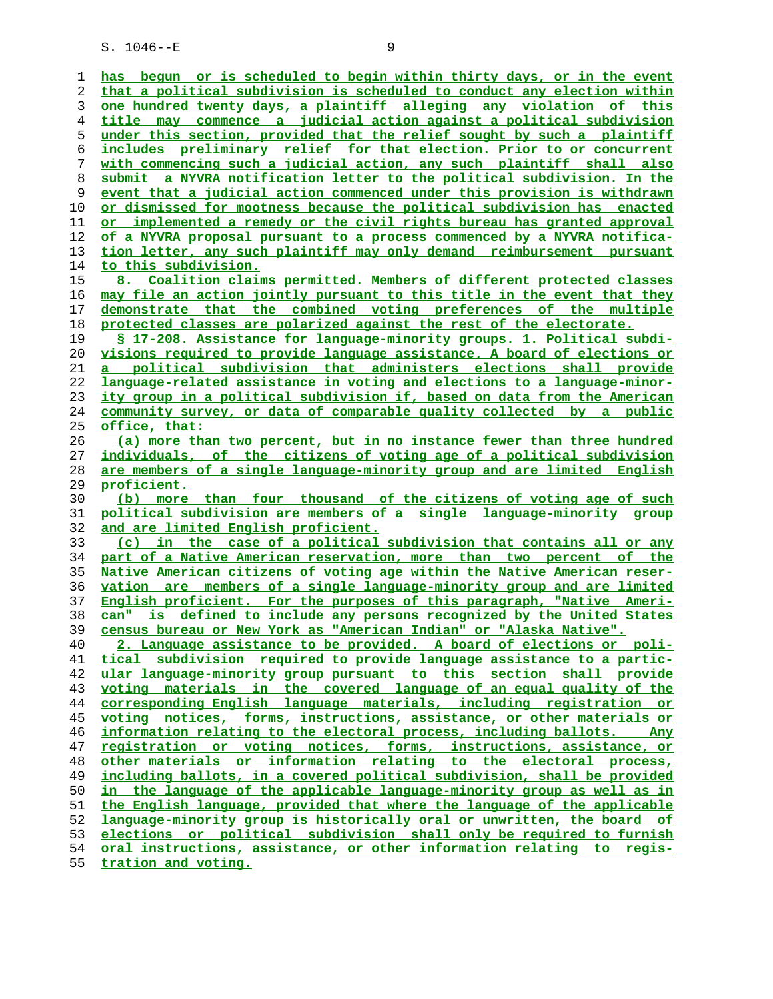**has begun or is scheduled to begin within thirty days, or in the event that a political subdivision is scheduled to conduct any election within one hundred twenty days, a plaintiff alleging any violation of this title may commence a judicial action against a political subdivision under this section, provided that the relief sought by such a plaintiff includes preliminary relief for that election. Prior to or concurrent with commencing such a judicial action, any such plaintiff shall also submit a NYVRA notification letter to the political subdivision. In the event that a judicial action commenced under this provision is withdrawn or dismissed for mootness because the political subdivision has enacted or implemented a remedy or the civil rights bureau has granted approval of a NYVRA proposal pursuant to a process commenced by a NYVRA notifica- tion letter, any such plaintiff may only demand reimbursement pursuant to this subdivision. 8. Coalition claims permitted. Members of different protected classes may file an action jointly pursuant to this title in the event that they demonstrate that the combined voting preferences of the multiple protected classes are polarized against the rest of the electorate. § 17-208. Assistance for language-minority groups. 1. Political subdi- visions required to provide language assistance. A board of elections or a political subdivision that administers elections shall provide language-related assistance in voting and elections to a language-minor- ity group in a political subdivision if, based on data from the American community survey, or data of comparable quality collected by a public office, that: (a) more than two percent, but in no instance fewer than three hundred individuals, of the citizens of voting age of a political subdivision are members of a single language-minority group and are limited English proficient. (b) more than four thousand of the citizens of voting age of such political subdivision are members of a single language-minority group and are limited English proficient. (c) in the case of a political subdivision that contains all or any part of a Native American reservation, more than two percent of the Native American citizens of voting age within the Native American reser- vation are members of a single language-minority group and are limited English proficient. For the purposes of this paragraph, "Native Ameri- can" is defined to include any persons recognized by the United States census bureau or New York as "American Indian" or "Alaska Native". 2. Language assistance to be provided. A board of elections or poli- tical subdivision required to provide language assistance to a partic- ular language-minority group pursuant to this section shall provide voting materials in the covered language of an equal quality of the corresponding English language materials, including registration or voting notices, forms, instructions, assistance, or other materials or information relating to the electoral process, including ballots. Any registration or voting notices, forms, instructions, assistance, or other materials or information relating to the electoral process, including ballots, in a covered political subdivision, shall be provided** in the language of the applicable language-minority group as well as in **the English language, provided that where the language of the applicable language-minority group is historically oral or unwritten, the board of elections or political subdivision shall only be required to furnish oral instructions, assistance, or other information relating to regis- tration and voting.**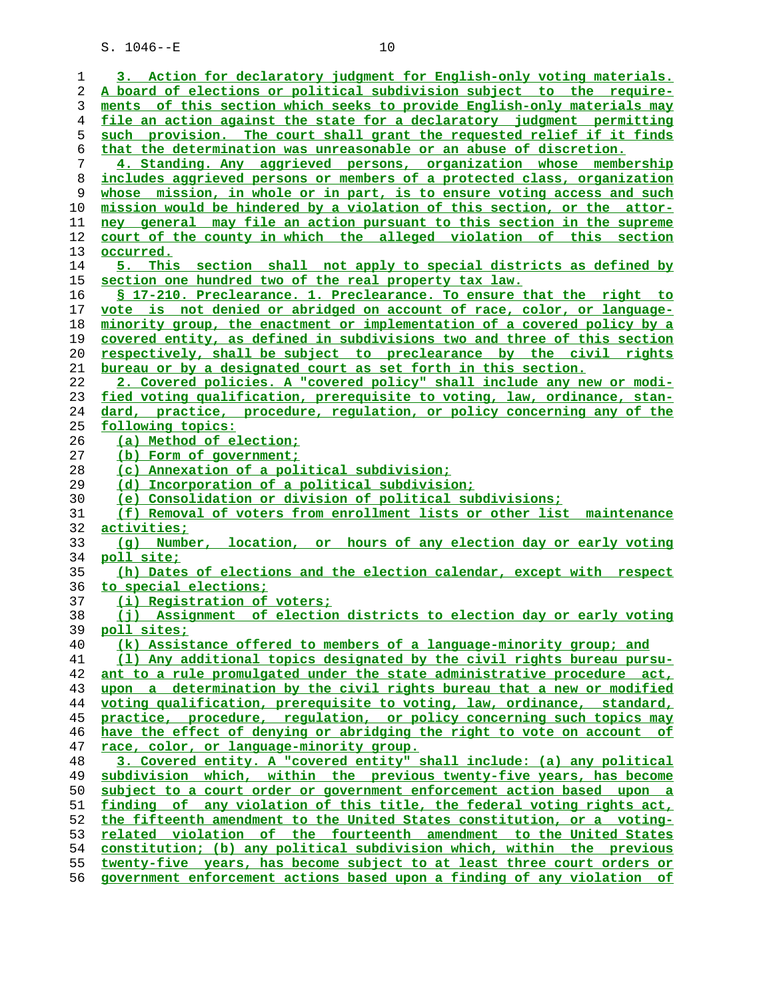| 1        | 3. Action for declaratory judgment for English-only voting materials.                                                                              |
|----------|----------------------------------------------------------------------------------------------------------------------------------------------------|
| 2        | A board of elections or political subdivision subject to the require-                                                                              |
| 3        | ments of this section which seeks to provide English-only materials may                                                                            |
| 4        | file an action against the state for a declaratory judgment permitting                                                                             |
| 5        | such provision. The court shall grant the requested relief if it finds                                                                             |
| 6        | that the determination was unreasonable or an abuse of discretion.                                                                                 |
| 7        | 4. Standing. Any aggrieved persons, organization whose membership                                                                                  |
|          |                                                                                                                                                    |
| 8        | includes aggrieved persons or members of a protected class, organization                                                                           |
| 9        | whose mission, in whole or in part, is to ensure voting access and such                                                                            |
| 10       | mission would be hindered by a violation of this section, or the attor-                                                                            |
| 11       | ney general may file an action pursuant to this section in the supreme                                                                             |
| 12       | court of the county in which the alleged violation of this section                                                                                 |
| 13       | occurred.                                                                                                                                          |
| 14       | 5. This section shall not apply to special districts as defined by                                                                                 |
| 15       | section one hundred two of the real property tax law.                                                                                              |
| 16       | § 17-210. Preclearance. 1. Preclearance. To ensure that the right to                                                                               |
| 17       | vote is not denied or abridged on account of race, color, or language-                                                                             |
| 18       | minority group, the enactment or implementation of a covered policy by a                                                                           |
| 19       | covered entity, as defined in subdivisions two and three of this section                                                                           |
| 20       | respectively, shall be subject to preclearance by the civil rights                                                                                 |
| 21       | bureau or by a designated court as set forth in this section.                                                                                      |
| 22       | 2. Covered policies. A "covered policy" shall include any new or modi-                                                                             |
| 23       | fied voting qualification, prerequisite to voting, law, ordinance, stan-                                                                           |
| 24       | dard, practice, procedure, regulation, or policy concerning any of the                                                                             |
| 25       | following topics:                                                                                                                                  |
| 26       | (a) Method of election;                                                                                                                            |
| 27       | (b) Form of government;                                                                                                                            |
|          |                                                                                                                                                    |
| 28       | (c) Annexation of a political subdivision;                                                                                                         |
| 29       | (d) Incorporation of a political subdivision;                                                                                                      |
| 30       | (e) Consolidation or division of political subdivisions;                                                                                           |
| 31       | (f) Removal of voters from enrollment lists or other list maintenance                                                                              |
| 32       | activities;                                                                                                                                        |
| 33       | (q) Number, location, or hours of any election day or early voting                                                                                 |
| 34       | poll site;                                                                                                                                         |
| 35       | (h) Dates of elections and the election calendar, except with respect                                                                              |
| 36       | to special elections;                                                                                                                              |
| 37       | (i) Registration of voters;                                                                                                                        |
| 38       | (i) Assignment of election districts to election day or early voting                                                                               |
| 39       | poll sites;                                                                                                                                        |
| 40       | (k) Assistance offered to members of a language-minority group; and                                                                                |
| 41       | (1) Any additional topics designated by the civil rights bureau pursu-                                                                             |
| 42       | ant to a rule promulgated under the state administrative procedure act,                                                                            |
| 43       | upon a determination by the civil rights bureau that a new or modified                                                                             |
| 44       | voting qualification, prerequisite to voting, law, ordinance, standard,                                                                            |
| 45       | practice, procedure, requlation, or policy concerning such topics may                                                                              |
| 46       | have the effect of denying or abridging the right to vote on account of                                                                            |
| 47       | race, color, or language-minority group.                                                                                                           |
| 48       | 3. Covered entity. A "covered entity" shall include: (a) any political                                                                             |
| 49       | subdivision which, within the previous twenty-five years, has become                                                                               |
| 50       |                                                                                                                                                    |
|          | subject to a court order or government enforcement action based upon a                                                                             |
| 51       | finding of any violation of this title, the federal voting rights act,                                                                             |
| 52       | the fifteenth amendment to the United States constitution, or a voting-                                                                            |
| 53       | related violation of the fourteenth amendment to the United States                                                                                 |
| 54       | constitution; (b) any political subdivision which, within the previous                                                                             |
|          |                                                                                                                                                    |
| 55<br>56 | twenty-five years, has become subject to at least three court orders or<br>government enforcement actions based upon a finding of any violation of |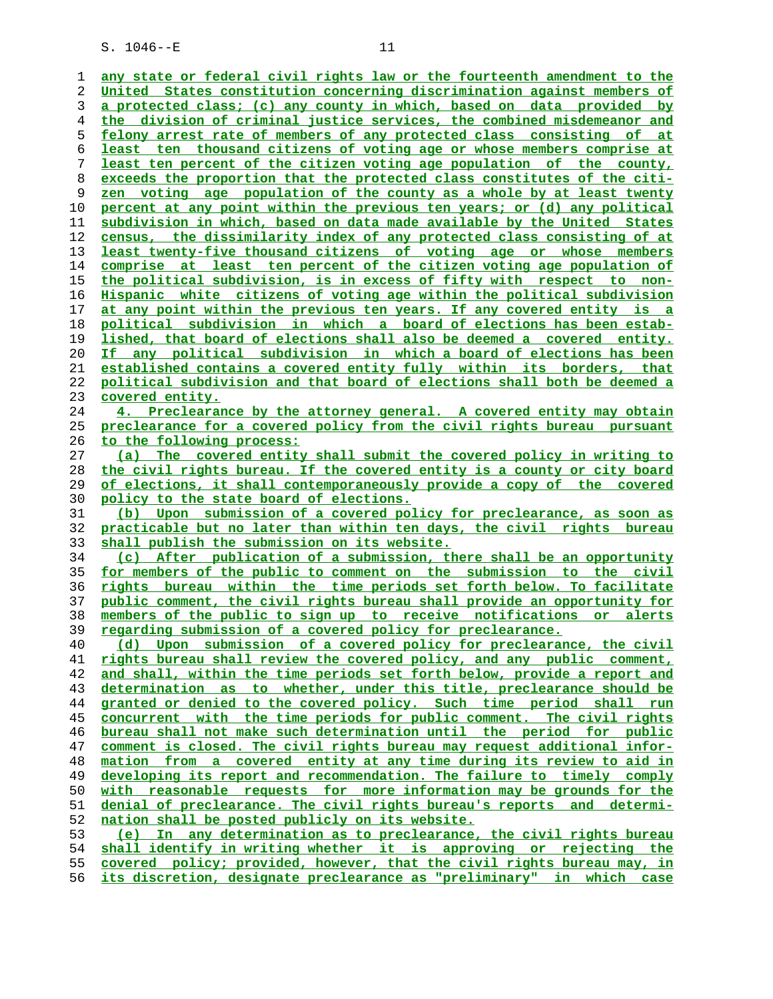**any state or federal civil rights law or the fourteenth amendment to the United States constitution concerning discrimination against members of a protected class; (c) any county in which, based on data provided by the division of criminal justice services, the combined misdemeanor and felony arrest rate of members of any protected class consisting of at least ten thousand citizens of voting age or whose members comprise at least ten percent of the citizen voting age population of the county, exceeds the proportion that the protected class constitutes of the citi- zen voting age population of the county as a whole by at least twenty percent at any point within the previous ten years; or (d) any political subdivision in which, based on data made available by the United States census, the dissimilarity index of any protected class consisting of at least twenty-five thousand citizens of voting age or whose members comprise at least ten percent of the citizen voting age population of the political subdivision, is in excess of fifty with respect to non- Hispanic white citizens of voting age within the political subdivision at any point within the previous ten years. If any covered entity is a political subdivision in which a board of elections has been estab- lished, that board of elections shall also be deemed a covered entity. If any political subdivision in which a board of elections has been established contains a covered entity fully within its borders, that political subdivision and that board of elections shall both be deemed a covered entity. 4. Preclearance by the attorney general. A covered entity may obtain preclearance for a covered policy from the civil rights bureau pursuant to the following process: (a) The covered entity shall submit the covered policy in writing to the civil rights bureau. If the covered entity is a county or city board of elections, it shall contemporaneously provide a copy of the covered policy to the state board of elections. (b) Upon submission of a covered policy for preclearance, as soon as practicable but no later than within ten days, the civil rights bureau shall publish the submission on its website. (c) After publication of a submission, there shall be an opportunity for members of the public to comment on the submission to the civil rights bureau within the time periods set forth below. To facilitate public comment, the civil rights bureau shall provide an opportunity for members of the public to sign up to receive notifications or alerts regarding submission of a covered policy for preclearance. (d) Upon submission of a covered policy for preclearance, the civil rights bureau shall review the covered policy, and any public comment, and shall, within the time periods set forth below, provide a report and determination as to whether, under this title, preclearance should be granted or denied to the covered policy. Such time period shall run concurrent with the time periods for public comment. The civil rights bureau shall not make such determination until the period for public comment is closed. The civil rights bureau may request additional infor- mation from a covered entity at any time during its review to aid in developing its report and recommendation. The failure to timely comply with reasonable requests for more information may be grounds for the denial of preclearance. The civil rights bureau's reports and determi- nation shall be posted publicly on its website. (e) In any determination as to preclearance, the civil rights bureau shall identify in writing whether it is approving or rejecting the covered policy; provided, however, that the civil rights bureau may, in**

**its discretion, designate preclearance as "preliminary" in which case**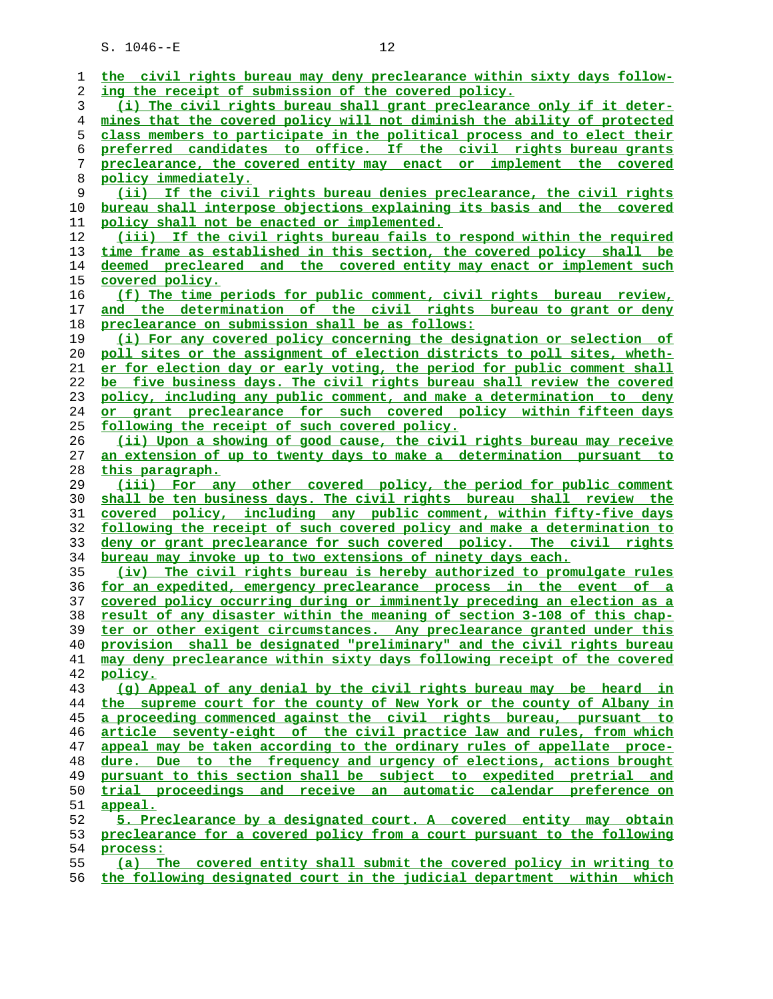| 1        | the civil rights bureau may deny preclearance within sixty days follow-                                                                        |
|----------|------------------------------------------------------------------------------------------------------------------------------------------------|
| 2        | ing the receipt of submission of the covered policy.                                                                                           |
| 3        | (i) The civil rights bureau shall grant preclearance only if it deter-                                                                         |
| 4        | mines that the covered policy will not diminish the ability of protected                                                                       |
| 5        | class members to participate in the political process and to elect their                                                                       |
| 6        | preferred candidates to office. If the civil rights bureau grants                                                                              |
| 7        | preclearance, the covered entity may enact or implement the covered                                                                            |
| 8        | policy immediately.                                                                                                                            |
| 9        | If the civil rights bureau denies preclearance, the civil rights<br>(ii)                                                                       |
| 10       | bureau shall interpose objections explaining its basis and the covered                                                                         |
| 11       | policy shall not be enacted or implemented.                                                                                                    |
| 12       | (iii) If the civil rights bureau fails to respond within the required                                                                          |
| 13       | time frame as established in this section, the covered policy shall be                                                                         |
| 14       | deemed precleared and the covered entity may enact or implement such                                                                           |
| 15       | covered policy.                                                                                                                                |
| 16       | (f) The time periods for public comment, civil rights bureau review,                                                                           |
| 17       | and the determination of the civil rights bureau to grant or deny                                                                              |
| 18       | preclearance on submission shall be as follows:                                                                                                |
| 19       | (i) For any covered policy concerning the designation or selection of                                                                          |
|          |                                                                                                                                                |
| 20       | poll sites or the assignment of election districts to poll sites, wheth-                                                                       |
| 21       | er for election day or early voting, the period for public comment shall                                                                       |
| 22       | be five business days. The civil rights bureau shall review the covered                                                                        |
| 23       | policy, including any public comment, and make a determination to deny                                                                         |
| 24       | or grant preclearance for such covered policy within fifteen days                                                                              |
| 25       | following the receipt of such covered policy.                                                                                                  |
| 26       | (ii) Upon a showing of good cause, the civil rights bureau may receive                                                                         |
| 27       | an extension of up to twenty days to make a determination pursuant to                                                                          |
| 28       | this paragraph.                                                                                                                                |
| 29       | (iii) For any other covered policy, the period for public comment                                                                              |
| 30       | shall be ten business days. The civil rights bureau shall review the                                                                           |
| 31       | covered policy, including any public comment, within fifty-five days                                                                           |
| 32       | following the receipt of such covered policy and make a determination to                                                                       |
| 33       | deny or grant preclearance for such covered policy. The civil rights                                                                           |
| 34       | bureau may invoke up to two extensions of ninety days each.                                                                                    |
| 35       | (iv) The civil rights bureau is hereby authorized to promulgate rules                                                                          |
| 36       | for an expedited, emergency preclearance process in the event of a                                                                             |
| 37       | covered policy occurring during or imminently preceding an election as a                                                                       |
| 38       | result of any disaster within the meaning of section 3-108 of this chap-                                                                       |
| 39       | ter or other exigent circumstances. Any preclearance granted under this                                                                        |
| 40       | provision shall be designated "preliminary" and the civil rights bureau                                                                        |
| 41       | may deny preclearance within sixty days following receipt of the covered                                                                       |
| 42       | policy.                                                                                                                                        |
| 43       | (q) Appeal of any denial by the civil rights bureau may be heard in                                                                            |
| 44       | the supreme court for the county of New York or the county of Albany in<br>a proceeding commenced against the civil rights bureau, pursuant to |
| 45<br>46 | article seventy-eight of the civil practice law and rules, from which                                                                          |
| 47       | appeal may be taken according to the ordinary rules of appellate proce-                                                                        |
| 48       | dure. Due to the frequency and urgency of elections, actions brought                                                                           |
| 49       | pursuant to this section shall be subject to expedited pretrial and                                                                            |
| 50       | trial proceedings and receive an automatic calendar preference on                                                                              |
| 51       | appeal.                                                                                                                                        |
| 52       | 5. Preclearance by a designated court. A covered entity may obtain                                                                             |
| 53       | preclearance for a covered policy from a court pursuant to the following                                                                       |
| 54       | process:                                                                                                                                       |
| 55       | (a) The covered entity shall submit the covered policy in writing to                                                                           |
|          |                                                                                                                                                |

**the following designated court in the judicial department within which**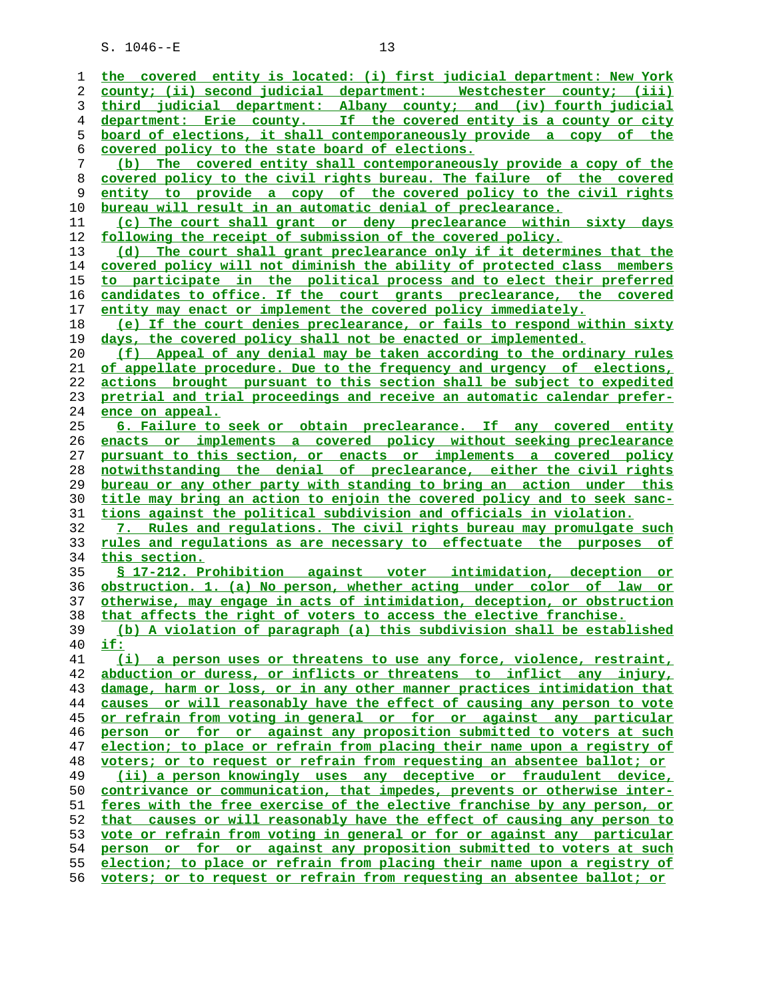| ı        | the covered entity is located: (i) first judicial department: New York                                                                              |
|----------|-----------------------------------------------------------------------------------------------------------------------------------------------------|
| 2        | county; (ii) second judicial department: Westchester county; (iii)                                                                                  |
| 3        | third judicial department: Albany county; and (iv) fourth judicial                                                                                  |
| 4        | department: Erie county. If the covered entity is a county or city                                                                                  |
| 5        | board of elections, it shall contemporaneously provide a copy of the                                                                                |
| 6        | covered policy to the state board of elections.                                                                                                     |
| 7        | (b) The covered entity shall contemporaneously provide a copy of the                                                                                |
| 8        | covered policy to the civil rights bureau. The failure of the covered                                                                               |
| 9        | entity to provide a copy of the covered policy to the civil rights                                                                                  |
| 10       | bureau will result in an automatic denial of preclearance.                                                                                          |
| 11       | (c) The court shall grant or deny preclearance within sixty days                                                                                    |
| 12       | following the receipt of submission of the covered policy.                                                                                          |
| 13       | (d) The court shall grant preclearance only if it determines that the                                                                               |
| 14       | covered policy will not diminish the ability of protected class members                                                                             |
| 15       | to participate in the political process and to elect their preferred                                                                                |
| 16       | candidates to office. If the court grants preclearance, the covered                                                                                 |
| 17       | entity may enact or implement the covered policy immediately.                                                                                       |
| 18       | (e) If the court denies preclearance, or fails to respond within sixty                                                                              |
| 19       | days, the covered policy shall not be enacted or implemented.                                                                                       |
| 20       | (f) Appeal of any denial may be taken according to the ordinary rules                                                                               |
| 21       | of appellate procedure. Due to the frequency and urgency of elections,                                                                              |
| 22       | actions brought pursuant to this section shall be subject to expedited                                                                              |
| 23       | pretrial and trial proceedings and receive an automatic calendar prefer-                                                                            |
| 24       | ence on appeal.                                                                                                                                     |
| 25       | 6. Failure to seek or obtain preclearance. If any covered entity                                                                                    |
| 26       | enacts or implements a covered policy without seeking preclearance                                                                                  |
| 27       | pursuant to this section, or enacts or implements a covered policy                                                                                  |
| 28       | notwithstanding the denial of preclearance, either the civil rights                                                                                 |
| 29       | bureau or any other party with standing to bring an action under this                                                                               |
| 30       | <u>title may bring an action to enjoin the covered policy and to seek sanc-</u>                                                                     |
| 31       | tions against the political subdivision and officials in violation.                                                                                 |
| 32       | 7. Rules and requlations. The civil rights bureau may promulgate such                                                                               |
| 33       | rules and requlations as are necessary to effectuate the purposes of                                                                                |
| 34       | this section.                                                                                                                                       |
| 35       | \$ 17-212. Prohibition against voter intimidation, deception or                                                                                     |
| 36       | obstruction. 1. (a) No person, whether acting under color of law or                                                                                 |
| 37       | otherwise, may engage in acts of intimidation, deception, or obstruction                                                                            |
| 38       | that affects the right of voters to access the elective franchise.                                                                                  |
| 39       | (b) A violation of paragraph (a) this subdivision shall be established                                                                              |
| 40       | if:                                                                                                                                                 |
| 41       | (i) a person uses or threatens to use any force, violence, restraint,                                                                               |
| 42       | abduction or duress, or inflicts or threatens to inflict any injury,                                                                                |
| 43       | damage, harm or loss, or in any other manner practices intimidation that                                                                            |
| 44       |                                                                                                                                                     |
| 45       | causes or will reasonably have the effect of causing any person to vote                                                                             |
|          | or refrain from voting in general or for or against any particular                                                                                  |
| 46       | person or for or against any proposition submitted to voters at such                                                                                |
| 47       | election; to place or refrain from placing their name upon a registry of                                                                            |
| 48       | voters; or to request or refrain from requesting an absentee ballot; or                                                                             |
| 49       | (ii) a person knowingly uses any deceptive or fraudulent device,                                                                                    |
| 50       | contrivance or communication, that impedes, prevents or otherwise inter-                                                                            |
| 51       | feres with the free exercise of the elective franchise by any person, or                                                                            |
| 52       | that causes or will reasonably have the effect of causing any person to                                                                             |
| 53       | vote or refrain from voting in general or for or against any particular                                                                             |
| 54       | person or for or against any proposition submitted to voters at such                                                                                |
| 55<br>56 | election; to place or refrain from placing their name upon a registry of<br>voters; or to request or refrain from requesting an absentee ballot; or |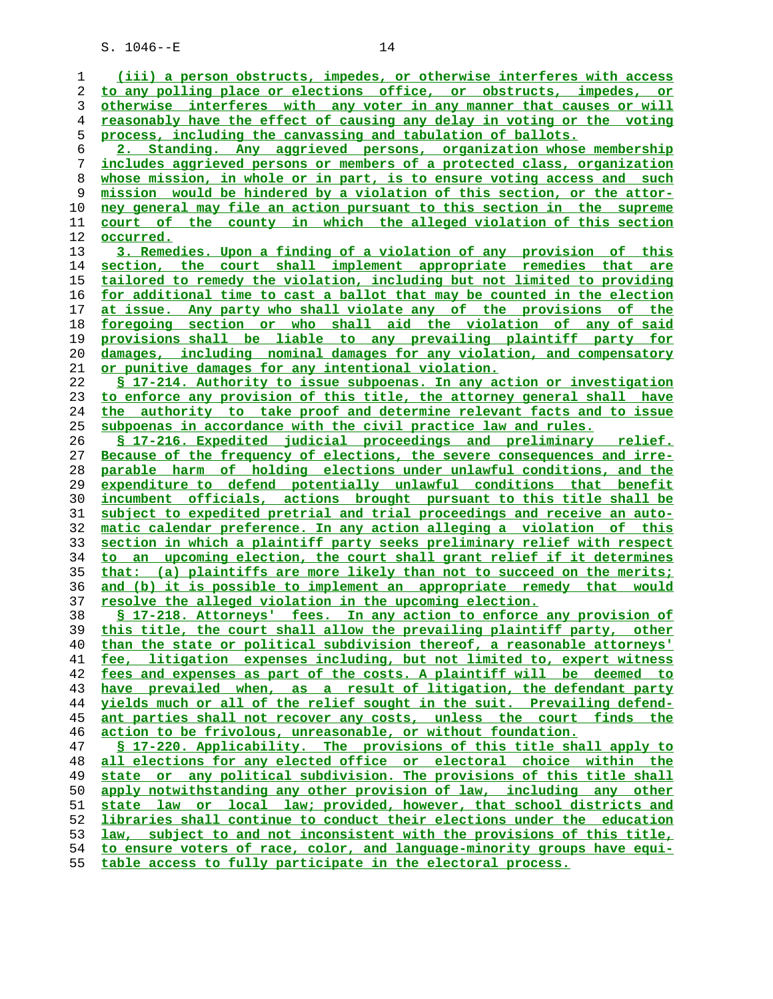**(iii) a person obstructs, impedes, or otherwise interferes with access to any polling place or elections office, or obstructs, impedes, or otherwise interferes with any voter in any manner that causes or will reasonably have the effect of causing any delay in voting or the voting process, including the canvassing and tabulation of ballots. 2. Standing. Any aggrieved persons, organization whose membership includes aggrieved persons or members of a protected class, organization whose mission, in whole or in part, is to ensure voting access and such mission would be hindered by a violation of this section, or the attor- ney general may file an action pursuant to this section in the supreme court of the county in which the alleged violation of this section occurred. 3. Remedies. Upon a finding of a violation of any provision of this section, the court shall implement appropriate remedies that are tailored to remedy the violation, including but not limited to providing for additional time to cast a ballot that may be counted in the election at issue. Any party who shall violate any of the provisions of the foregoing section or who shall aid the violation of any of said provisions shall be liable to any prevailing plaintiff party for damages, including nominal damages for any violation, and compensatory or punitive damages for any intentional violation. § 17-214. Authority to issue subpoenas. In any action or investigation to enforce any provision of this title, the attorney general shall have the authority to take proof and determine relevant facts and to issue subpoenas in accordance with the civil practice law and rules. § 17-216. Expedited judicial proceedings and preliminary relief. Because of the frequency of elections, the severe consequences and irre- parable harm of holding elections under unlawful conditions, and the expenditure to defend potentially unlawful conditions that benefit incumbent officials, actions brought pursuant to this title shall be subject to expedited pretrial and trial proceedings and receive an auto- matic calendar preference. In any action alleging a violation of this section in which a plaintiff party seeks preliminary relief with respect to an upcoming election, the court shall grant relief if it determines that: (a) plaintiffs are more likely than not to succeed on the merits; and (b) it is possible to implement an appropriate remedy that would resolve the alleged violation in the upcoming election. § 17-218. Attorneys' fees. In any action to enforce any provision of this title, the court shall allow the prevailing plaintiff party, other than the state or political subdivision thereof, a reasonable attorneys' fee, litigation expenses including, but not limited to, expert witness fees and expenses as part of the costs. A plaintiff will be deemed to have prevailed when, as a result of litigation, the defendant party yields much or all of the relief sought in the suit. Prevailing defend- ant parties shall not recover any costs, unless the court finds the action to be frivolous, unreasonable, or without foundation. § 17-220. Applicability. The provisions of this title shall apply to all elections for any elected office or electoral choice within the state or any political subdivision. The provisions of this title shall apply notwithstanding any other provision of law, including any other state law or local law; provided, however, that school districts and libraries shall continue to conduct their elections under the education law, subject to and not inconsistent with the provisions of this title, to ensure voters of race, color, and language-minority groups have equi- table access to fully participate in the electoral process.**